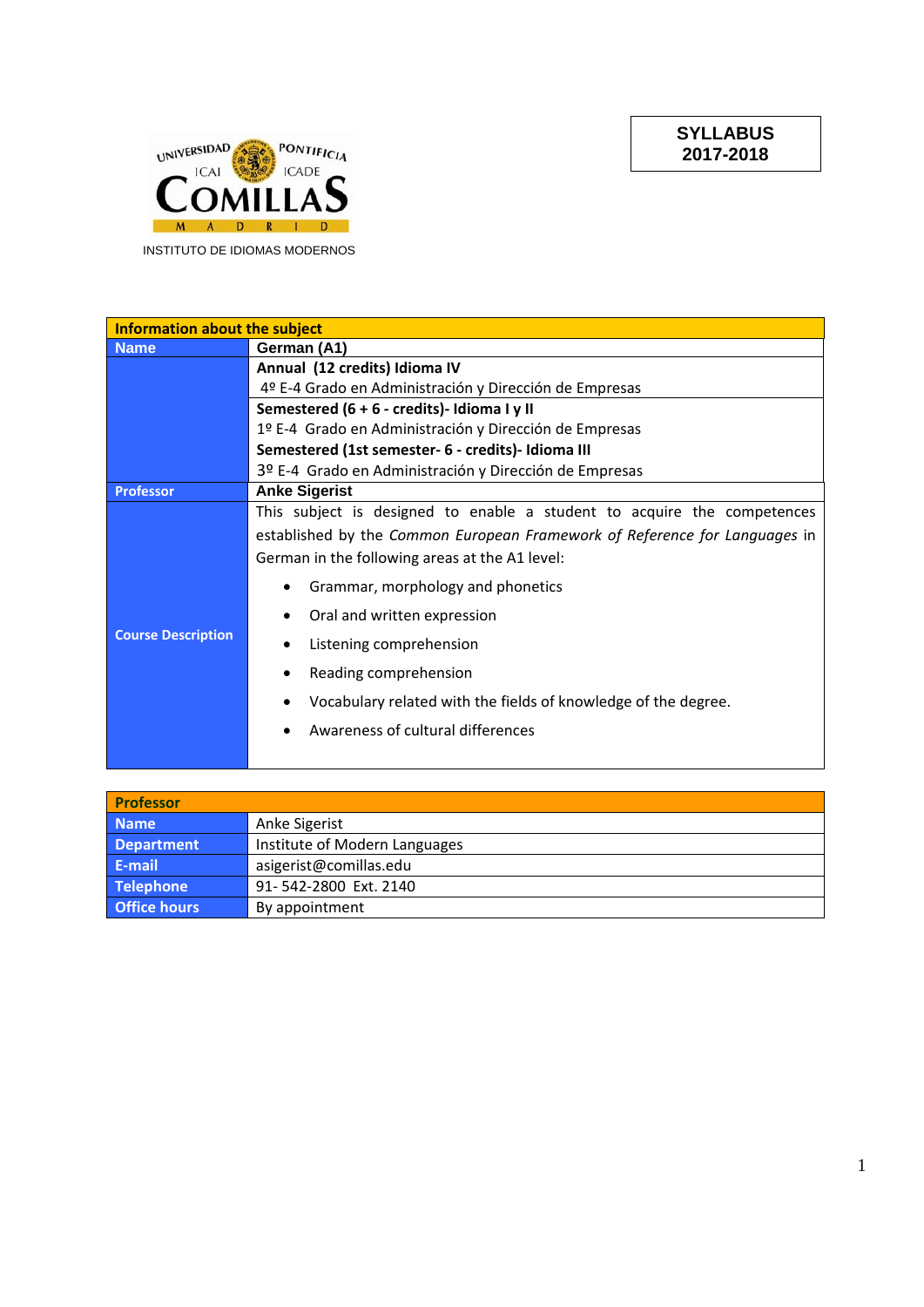**SYLLABUS 2017-2018** 



INSTITUTO DE IDIOMAS MODERNOS

| <b>Information about the subject</b> |                                                                            |  |
|--------------------------------------|----------------------------------------------------------------------------|--|
| <b>Name</b>                          | German (A1)                                                                |  |
|                                      | Annual (12 credits) Idioma IV                                              |  |
|                                      | 4º E-4 Grado en Administración y Dirección de Empresas                     |  |
|                                      | Semestered (6 + 6 - credits)- Idioma I y II                                |  |
|                                      | 1º E-4 Grado en Administración y Dirección de Empresas                     |  |
|                                      | Semestered (1st semester- 6 - credits)- Idioma III                         |  |
|                                      | 3º E-4 Grado en Administración y Dirección de Empresas                     |  |
| <b>Professor</b>                     | <b>Anke Sigerist</b>                                                       |  |
|                                      | This subject is designed to enable a student to acquire the competences    |  |
|                                      | established by the Common European Framework of Reference for Languages in |  |
|                                      | German in the following areas at the A1 level:                             |  |
|                                      | Grammar, morphology and phonetics<br>٠                                     |  |
|                                      | Oral and written expression                                                |  |
| <b>Course Description</b>            | Listening comprehension                                                    |  |
|                                      | Reading comprehension<br>$\bullet$                                         |  |
|                                      | Vocabulary related with the fields of knowledge of the degree.             |  |
|                                      | Awareness of cultural differences                                          |  |
|                                      |                                                                            |  |

| <b>Professor</b>    |                               |
|---------------------|-------------------------------|
| <b>Name</b>         | Anke Sigerist                 |
| <b>Department</b>   | Institute of Modern Languages |
| E-mail              | asigerist@comillas.edu        |
| Telephone           | 91-542-2800 Ext. 2140         |
| <b>Office hours</b> | By appointment                |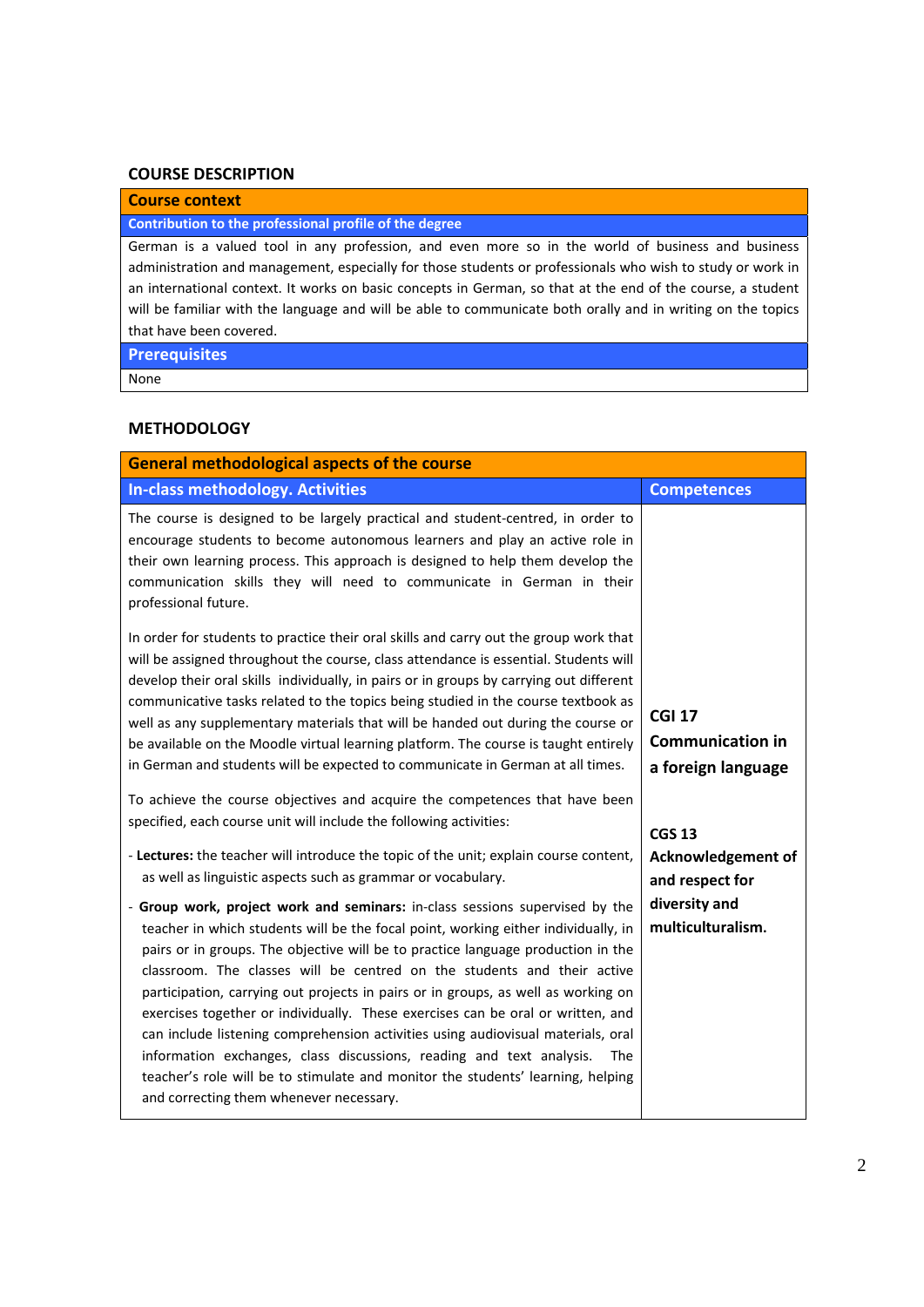### **COURSE DESCRIPTION**

# **Course context**

## **Contribution to the professional profile of the degree**

German is a valued tool in any profession, and even more so in the world of business and business administration and management, especially for those students or professionals who wish to study or work in an international context. It works on basic concepts in German, so that at the end of the course, a student will be familiar with the language and will be able to communicate both orally and in writing on the topics that have been covered.

# **Prerequisites**

None

## **METHODOLOGY**

| <b>General methodological aspects of the course</b>                                                                                                                                                                                                                                                                                                                                                                                                                                                                                                                                                                                                                                                                                                                                                        |                                                                |  |
|------------------------------------------------------------------------------------------------------------------------------------------------------------------------------------------------------------------------------------------------------------------------------------------------------------------------------------------------------------------------------------------------------------------------------------------------------------------------------------------------------------------------------------------------------------------------------------------------------------------------------------------------------------------------------------------------------------------------------------------------------------------------------------------------------------|----------------------------------------------------------------|--|
| <b>In-class methodology. Activities</b>                                                                                                                                                                                                                                                                                                                                                                                                                                                                                                                                                                                                                                                                                                                                                                    | <b>Competences</b>                                             |  |
| The course is designed to be largely practical and student-centred, in order to<br>encourage students to become autonomous learners and play an active role in<br>their own learning process. This approach is designed to help them develop the<br>communication skills they will need to communicate in German in their<br>professional future.                                                                                                                                                                                                                                                                                                                                                                                                                                                          |                                                                |  |
| In order for students to practice their oral skills and carry out the group work that<br>will be assigned throughout the course, class attendance is essential. Students will<br>develop their oral skills individually, in pairs or in groups by carrying out different<br>communicative tasks related to the topics being studied in the course textbook as<br>well as any supplementary materials that will be handed out during the course or<br>be available on the Moodle virtual learning platform. The course is taught entirely<br>in German and students will be expected to communicate in German at all times.                                                                                                                                                                                 | <b>CGI 17</b><br><b>Communication in</b><br>a foreign language |  |
| To achieve the course objectives and acquire the competences that have been<br>specified, each course unit will include the following activities:                                                                                                                                                                                                                                                                                                                                                                                                                                                                                                                                                                                                                                                          | <b>CGS 13</b>                                                  |  |
| - Lectures: the teacher will introduce the topic of the unit; explain course content,<br>as well as linguistic aspects such as grammar or vocabulary.                                                                                                                                                                                                                                                                                                                                                                                                                                                                                                                                                                                                                                                      | <b>Acknowledgement of</b><br>and respect for                   |  |
| - Group work, project work and seminars: in-class sessions supervised by the<br>teacher in which students will be the focal point, working either individually, in<br>pairs or in groups. The objective will be to practice language production in the<br>classroom. The classes will be centred on the students and their active<br>participation, carrying out projects in pairs or in groups, as well as working on<br>exercises together or individually. These exercises can be oral or written, and<br>can include listening comprehension activities using audiovisual materials, oral<br>information exchanges, class discussions, reading and text analysis.<br>The<br>teacher's role will be to stimulate and monitor the students' learning, helping<br>and correcting them whenever necessary. | diversity and<br>multiculturalism.                             |  |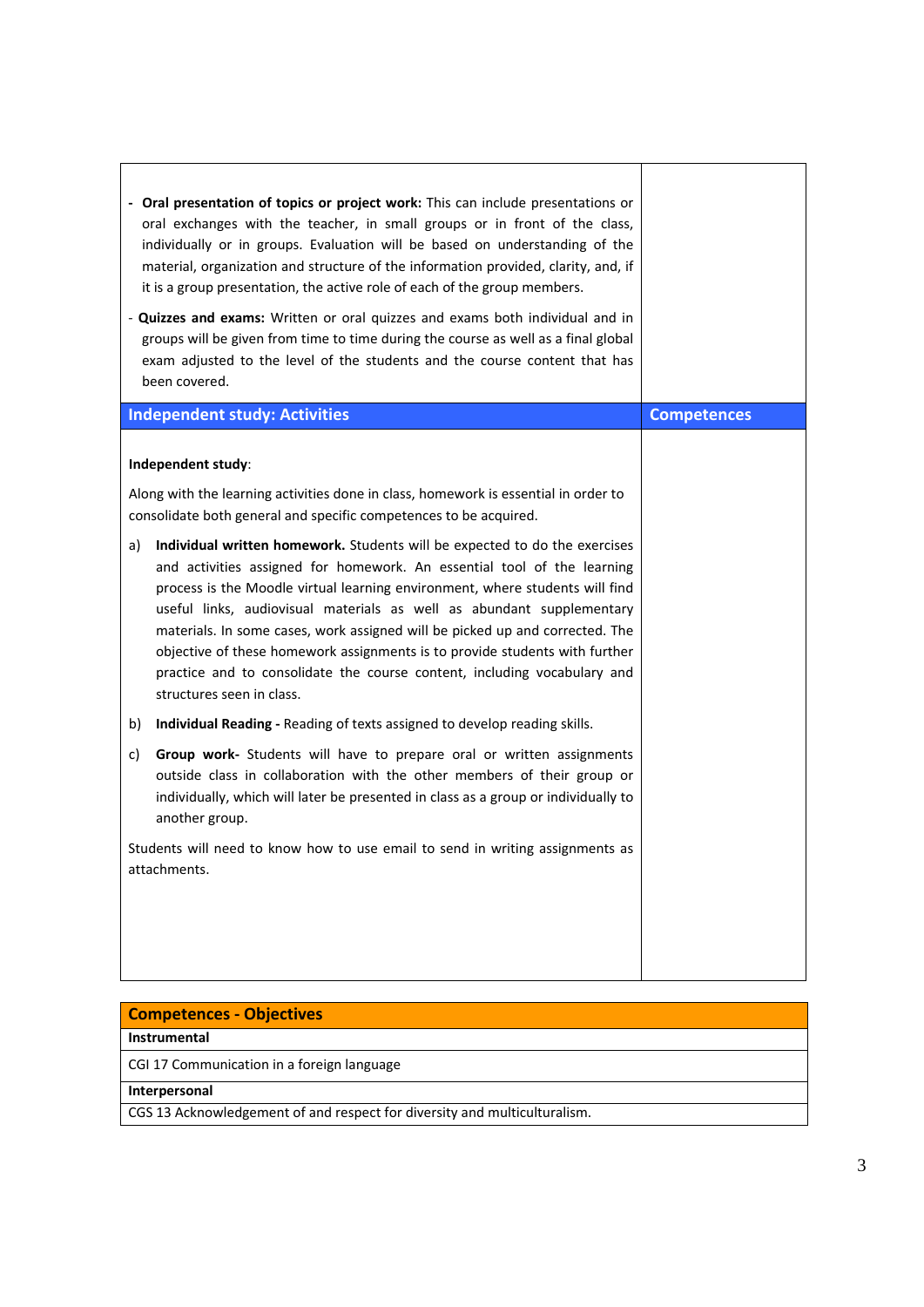| - Oral presentation of topics or project work: This can include presentations or<br>oral exchanges with the teacher, in small groups or in front of the class,<br>individually or in groups. Evaluation will be based on understanding of the<br>material, organization and structure of the information provided, clarity, and, if<br>it is a group presentation, the active role of each of the group members.<br>- Quizzes and exams: Written or oral quizzes and exams both individual and in<br>groups will be given from time to time during the course as well as a final global<br>exam adjusted to the level of the students and the course content that has<br>been covered. |                    |
|----------------------------------------------------------------------------------------------------------------------------------------------------------------------------------------------------------------------------------------------------------------------------------------------------------------------------------------------------------------------------------------------------------------------------------------------------------------------------------------------------------------------------------------------------------------------------------------------------------------------------------------------------------------------------------------|--------------------|
| <b>Independent study: Activities</b>                                                                                                                                                                                                                                                                                                                                                                                                                                                                                                                                                                                                                                                   | <b>Competences</b> |
| Independent study:<br>Along with the learning activities done in class, homework is essential in order to<br>consolidate both general and specific competences to be acquired.                                                                                                                                                                                                                                                                                                                                                                                                                                                                                                         |                    |
| Individual written homework. Students will be expected to do the exercises<br>a)<br>and activities assigned for homework. An essential tool of the learning<br>process is the Moodle virtual learning environment, where students will find<br>useful links, audiovisual materials as well as abundant supplementary<br>materials. In some cases, work assigned will be picked up and corrected. The<br>objective of these homework assignments is to provide students with further<br>practice and to consolidate the course content, including vocabulary and<br>structures seen in class.                                                                                           |                    |
| Individual Reading - Reading of texts assigned to develop reading skills.<br>b)                                                                                                                                                                                                                                                                                                                                                                                                                                                                                                                                                                                                        |                    |
| <b>Group work-</b> Students will have to prepare oral or written assignments<br>C)<br>outside class in collaboration with the other members of their group or<br>individually, which will later be presented in class as a group or individually to<br>another group.                                                                                                                                                                                                                                                                                                                                                                                                                  |                    |
| Students will need to know how to use email to send in writing assignments as<br>attachments.                                                                                                                                                                                                                                                                                                                                                                                                                                                                                                                                                                                          |                    |

| <b>Competences - Objectives</b>                                           |  |
|---------------------------------------------------------------------------|--|
| <b>Instrumental</b>                                                       |  |
| CGI 17 Communication in a foreign language                                |  |
| Interpersonal                                                             |  |
| CGS 13 Acknowledgement of and respect for diversity and multiculturalism. |  |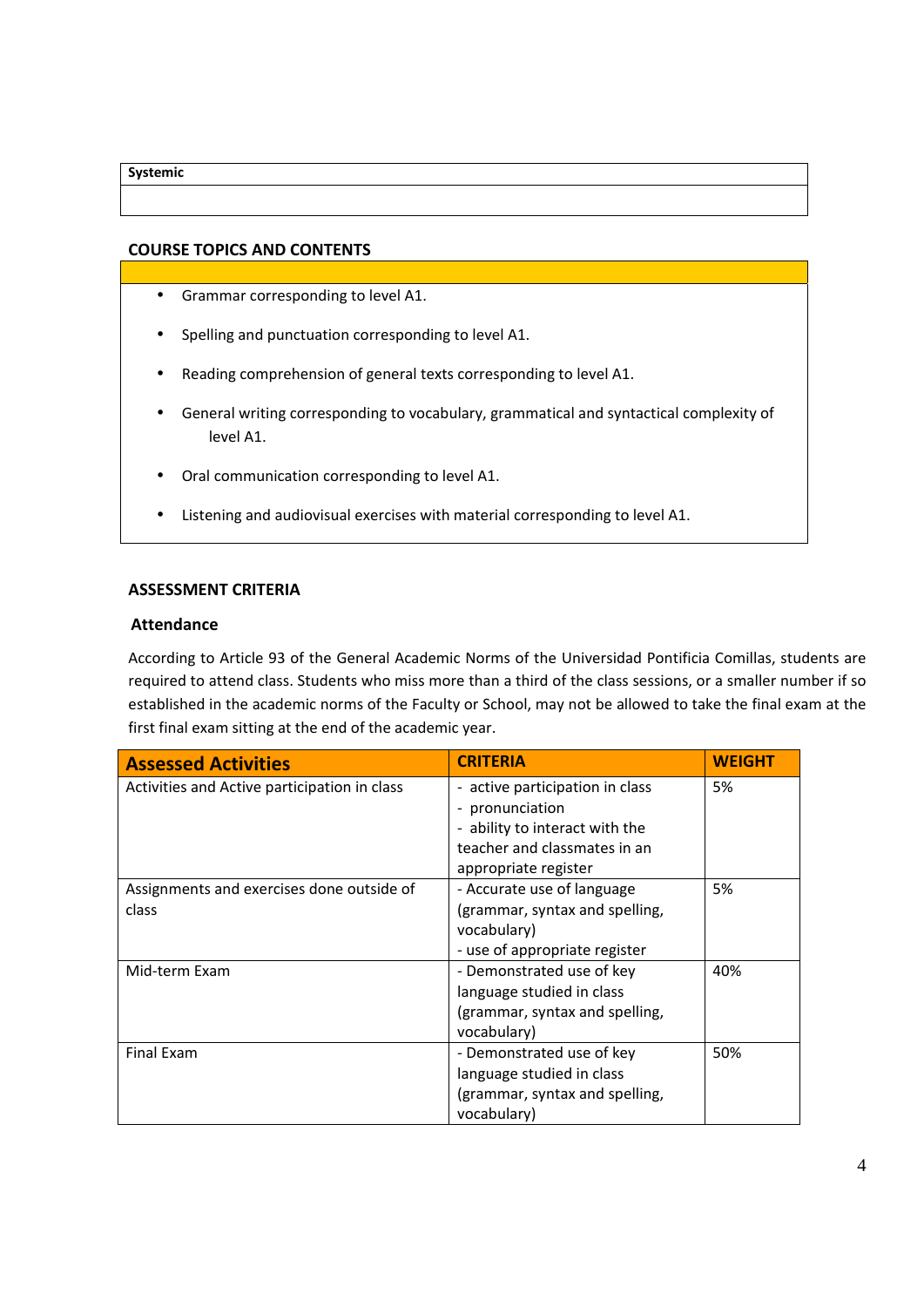#### **Systemic**

# **COURSE TOPICS AND CONTENTS**

- Grammar corresponding to level A1.
- Spelling and punctuation corresponding to level A1.
- Reading comprehension of general texts corresponding to level A1.
- General writing corresponding to vocabulary, grammatical and syntactical complexity of level A1.
- Oral communication corresponding to level A1.
- Listening and audiovisual exercises with material corresponding to level A1.

## **ASSESSMENT CRITERIA**

## **Attendance**

According to Article 93 of the General Academic Norms of the Universidad Pontificia Comillas, students are required to attend class. Students who miss more than a third of the class sessions, or a smaller number if so established in the academic norms of the Faculty or School, may not be allowed to take the final exam at the first final exam sitting at the end of the academic year.

| <b>Assessed Activities</b>                   | <b>CRITERIA</b>                 | <b>WEIGHT</b> |
|----------------------------------------------|---------------------------------|---------------|
| Activities and Active participation in class | - active participation in class | 5%            |
|                                              | pronunciation<br>-              |               |
|                                              | - ability to interact with the  |               |
|                                              | teacher and classmates in an    |               |
|                                              | appropriate register            |               |
| Assignments and exercises done outside of    | - Accurate use of language      | 5%            |
| class                                        | (grammar, syntax and spelling,  |               |
|                                              | vocabulary)                     |               |
|                                              | - use of appropriate register   |               |
| Mid-term Exam                                | - Demonstrated use of key       | 40%           |
|                                              | language studied in class       |               |
|                                              | (grammar, syntax and spelling,  |               |
|                                              | vocabulary)                     |               |
| <b>Final Exam</b>                            | - Demonstrated use of key       | 50%           |
|                                              | language studied in class       |               |
|                                              | (grammar, syntax and spelling,  |               |
|                                              | vocabulary)                     |               |